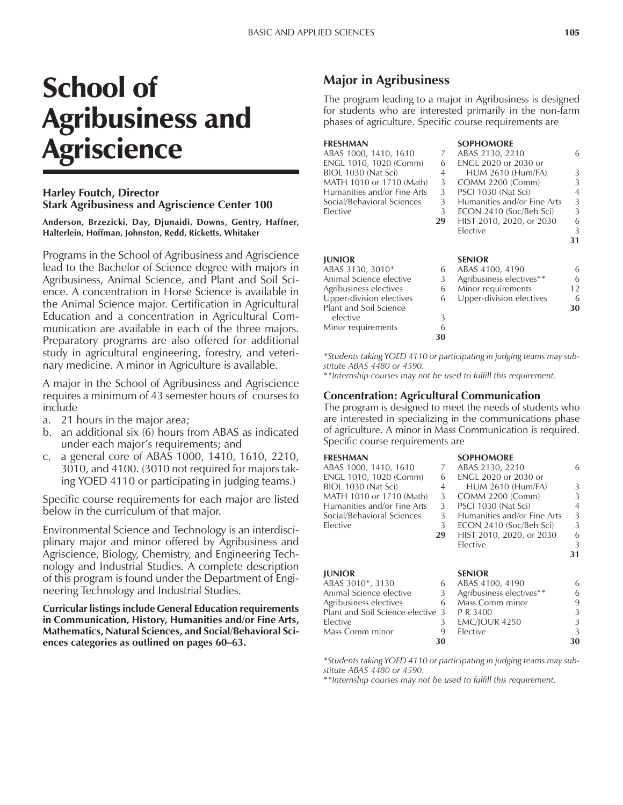# School of Agribusiness and Agriscience

#### **Harley Foutch, Director Stark Agribusiness and Agriscience Center 100**

**Anderson, Brzezicki, Day, Djunaidi, Downs, Gentry, Haffner, Halterlein, Hoffman, Johnston, Redd, Ricketts, Whitaker**

Programs in the School of Agribusiness and Agriscience lead to the Bachelor of Science degree with majors in Agribusiness, Animal Science, and Plant and Soil Science. A concentration in Horse Science is available in the Animal Science major. Certification in Agricultural Education and a concentration in Agricultural Communication are available in each of the three majors. Preparatory programs are also offered for additional study in agricultural engineering, forestry, and veterinary medicine. A minor in Agriculture is available.

A major in the School of Agribusiness and Agriscience requires a minimum of 43 semester hours of courses to include

- a. 21 hours in the major area;
- b. an additional six (6) hours from ABAS as indicated under each major's requirements; and
- c. a general core of ABAS 1000, 1410, 1610, 2210, 3010, and 4100. (3010 not required for majors taking YOED 4110 or participating in judging teams.)

Specific course requirements for each major are listed below in the curriculum of that major.

Environmental Science and Technology is an interdisciplinary major and minor offered by Agribusiness and Agriscience, Biology, Chemistry, and Engineering Technology and Industrial Studies. A complete description of this program is found under the Department of Engineering Technology and Industrial Studies.

**Curricular listings include General Education requirements in Communication, History, Humanities and/or Fine Arts, Mathematics, Natural Sciences, and Social/Behavioral Sci**ences categories as outlined on pages 60–63.

# **Major in Agribusiness**

The program leading to a major in Agribusiness is designed for students who are interested primarily in the non-farm phases of agriculture. Specific course requirements are

| FRESHMAN                    |    | <b>SOPHOMORE</b>            |                |
|-----------------------------|----|-----------------------------|----------------|
| ABAS 1000, 1410, 1610       | 7  | ABAS 2130, 2210             | 6              |
| ENGL 1010, 1020 (Comm)      | 6  | <b>ENGL 2020 or 2030 or</b> |                |
| BIOL 1030 (Nat Sci)         | 4  | <b>HUM 2610 (Hum/FA)</b>    | 3              |
| MATH 1010 or 1710 (Math)    | 3  | COMM 2200 (Comm)            | 3              |
| Humanities and/or Fine Arts | 3  | PSCI 1030 (Nat Sci)         | $\overline{4}$ |
| Social/Behavioral Sciences  | 3  | Humanities and/or Fine Arts | 3              |
| Elective                    | 3  | ECON 2410 (Soc/Beh Sci)     | 3              |
|                             | 29 | HIST 2010, 2020, or 2030    | 6              |
|                             |    | Elective                    | 3              |
|                             |    |                             | 31             |
| <b>IUNIOR</b>               |    | <b>SENIOR</b>               |                |
| ABAS 3130, 3010*            | 6  | ABAS 4100, 4190             | 6              |
| Animal Science elective     | 3  | Agribusiness electives**    | 6              |
| Agribusiness electives      | 6  | Minor requirements          | $12 \,$        |
| Upper-division electives    | 6  | Upper-division electives    | 6              |
| Plant and Soil Science      |    |                             | 30             |
| elective                    | 3  |                             |                |
| Minor requirements          | 6  |                             |                |
|                             | 30 |                             |                |

*\*Students taking YOED 4110 or participating in judging teams may substitute ABAS 4480 or 4590.*

\**\*Internship courses may not be used to fulfill this requirement.*

#### **Concentration: Agricultural Communication**

The program is designed to meet the needs of students who are interested in specializing in the communications phase of agriculture. A minor in Mass Communication is required. Specific course requirements are

### **FRESHMAN SOPHOMORE**

| FRESHMAN                          |    | SUPHUMUKE                   |    |
|-----------------------------------|----|-----------------------------|----|
| ABAS 1000, 1410, 1610             | 7  | ABAS 2130, 2210             | 6. |
| ENGL 1010, 1020 (Comm)            | 6  | <b>ENGL 2020 or 2030 or</b> |    |
| BIOL 1030 (Nat Sci)               | 4  | <b>HUM 2610 (Hum/FA)</b>    | 3  |
| MATH 1010 or 1710 (Math)          | 3  | <b>COMM 2200 (Comm)</b>     | 3  |
| Humanities and/or Fine Arts       | 3  | PSCI 1030 (Nat Sci)         | 4  |
| Social/Behavioral Sciences        | 3  | Humanities and/or Fine Arts | 3  |
| Elective                          | 3  | ECON 2410 (Soc/Beh Sci)     | 3  |
|                                   | 29 | HIST 2010, 2020, or 2030    | 6  |
|                                   |    | Elective                    | 3  |
|                                   |    |                             | 31 |
| <b>IUNIOR</b>                     |    | <b>SENIOR</b>               |    |
| ABAS 3010*, 3130                  | 6  | ABAS 4100, 4190             | 6  |
| Animal Science elective           | 3  | Agribusiness electives**    | 6  |
| Agribusiness electives            | 6  | Mass Comm minor             | 9  |
| Plant and Soil Science elective 3 |    | P R 3400                    | 3  |
| Elective                          | 3  | <b>EMC/JOUR 4250</b>        | 3  |
| Mass Comm minor                   | 9  | Elective                    | 3  |

*\*Students taking YOED 4110 or participating in judging teams may substitute ABAS 4480 or 4590.*

**30 30**

\**\*Internship courses may not be used to fulfill this requirement.*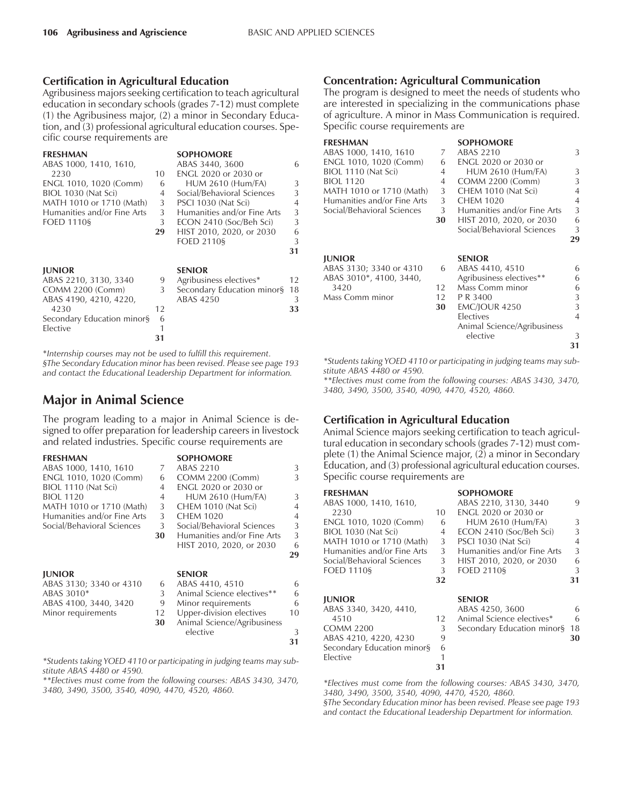#### **Certification in Agricultural Education**

Agribusiness majors seeking certification to teach agricultural education in secondary schools (grades 7-12) must complete (1) the Agribusiness major, (2) a minor in Secondary Education, and (3) professional agricultural education courses. Specific course requirements are

| <b>FRESHMAN</b>             |    | <b>SOPHOMORE</b>            |    |
|-----------------------------|----|-----------------------------|----|
| ABAS 1000, 1410, 1610,      |    | ABAS 3440, 3600             | 6  |
| 2230                        | 10 | <b>ENGL 2020 or 2030 or</b> |    |
| ENGL 1010, 1020 (Comm)      | 6  | <b>HUM 2610 (Hum/FA)</b>    | 3  |
| BIOL 1030 (Nat Sci)         | 4  | Social/Behavioral Sciences  | 3  |
| MATH 1010 or 1710 (Math)    | 3  | PSCI 1030 (Nat Sci)         | 4  |
| Humanities and/or Fine Arts | 3  | Humanities and/or Fine Arts | 3  |
| <b>FOED 1110§</b>           | 3  | ECON 2410 (Soc/Beh Sci)     | 3  |
|                             | 29 | HIST 2010, 2020, or 2030    | 6  |
|                             |    | <b>FOED 2110§</b>           | 3  |
|                             |    |                             | 31 |
| <b>JUNIOR</b>               |    | <b>SENIOR</b>               |    |
| ABAS 2210, 3130, 3340       | 9  | Agribusiness electives*     | 12 |
| COMM 2200 (Comm)            | 3  | Secondary Education minor§  | 18 |
| ABAS 4190, 4210, 4220,      |    | ABAS 4250                   | 3  |
| 4230                        | 12 |                             | 33 |
| Secondary Education minor§  | 6  |                             |    |
| Elective                    |    |                             |    |
|                             | 31 |                             |    |
|                             |    |                             |    |

\**Internship courses may not be used to fulfill this requirement. ßThe Secondary Education minor has been revised. Please see page 193 and contact the Educational Leadership Department for information.*

# **Major in Animal Science**

The program leading to a major in Animal Science is designed to offer preparation for leadership careers in livestock and related industries. Specific course requirements are

**FRESHMAN SOPHOMORE**<br>ABAS 1000. 1410. 1610 7 ABAS 2210 ABAS 1000, 1410, 1610 7 ABAS 2210 3<br>ENGL 1010, 1020 (Comm) 6 COMM 2200 (Comm) 3 ENGL 1010, 1020 (Comm) 6 BIOL 1110 (Nat Sci) 4 ENGL 2020 or 2030 or 4 HUM 2610 (Hum/FA) 3<br>3 CHEM 1010 (Nat Sci) 4 MATH 1010 or 1710 (Math) 3 CHEM 1010 (Nat Sci) 4 Humanities and/or Fine Arts 3 CHEM 1020 4 Social/Behavioral Sciences 3 Social/Behavioral Sciences 3 **30** Humanities and/or Fine Arts 3 HIST 2010, 2020, or 2030 6 **29 JUNIOR SENIOR** ABAS 3130; 3340 or 4310 6 ABAS 4410, 4510 6 ABAS 3010\* 6 ABAS 3010\* 6 ABAS 3010\* Animal Science electives\*\* ABAS 4100, 3440, 3420 9 Minor requirements 6 Minor requirements 12 Upper-division electives 10<br>30 Animal Science/Agribusiness **30** Animal Science/Agribusiness elective 3 **31**

*\*Students taking YOED 4110 or participating in judging teams may substitute ABAS 4480 or 4590.*

*\*\*Electives must come from the following courses: ABAS 3430, 3470, 3480, 3490, 3500, 3540, 4090, 4470, 4520, 4860.*

#### **Concentration: Agricultural Communication**

The program is designed to meet the needs of students who are interested in specializing in the communications phase of agriculture. A minor in Mass Communication is required. Specific course requirements are

| <b>FRESHMAN</b>                           |    | <b>SOPHOMORE</b>            |    |
|-------------------------------------------|----|-----------------------------|----|
| ABAS 1000, 1410, 1610                     | 7  | ABAS 2210                   | 3  |
| ENGL 1010, 1020 (Comm)                    | 6  | ENGL 2020 or 2030 or        |    |
| BIOL 1110 (Nat Sci)                       | 4  | <b>HUM 2610 (Hum/FA)</b>    | 3  |
| <b>BIOL 1120</b>                          | 4  | <b>COMM 2200 (Comm)</b>     | 3  |
| MATH 1010 or 1710 (Math)                  | 3  | CHEM 1010 (Nat Sci)         | 4  |
| Humanities and/or Fine Arts               | 3  | <b>CHEM 1020</b>            | 4  |
| Social/Behavioral Sciences                | 3  | Humanities and/or Fine Arts | 3  |
|                                           | 30 | HIST 2010, 2020, or 2030    | 6  |
|                                           |    | Social/Behavioral Sciences  | 3  |
|                                           |    |                             | 29 |
|                                           |    |                             |    |
| <b>JUNIOR</b>                             |    | <b>SENIOR</b>               |    |
| ABAS 3130; 3340 or 4310                   | 6  | ABAS 4410, 4510             | 6  |
|                                           |    |                             | 6  |
| ABAS 3010*, 4100, 3440,                   |    | Agribusiness electives**    |    |
| 3420                                      | 12 | Mass Comm minor             | 6  |
| Mass Comm minor                           | 12 | P R 3400                    | 3  |
|                                           | 30 | <b>EMC/JOUR 4250</b>        | 3  |
|                                           |    | Electives                   | 4  |
|                                           |    | Animal Science/Agribusiness |    |
|                                           |    | elective                    | 3  |
|                                           |    |                             |    |
|                                           |    |                             | 31 |
| $1 \cdot 1! \cdot 1000$<br>$\mathbf{r}$ . |    | .                           |    |

*\*Students taking YOED 4110 or participating in judging teams may substitute ABAS 4480 or 4590.*

*\*\*Electives must come from the following courses: ABAS 3430, 3470, 3480, 3490, 3500, 3540, 4090, 4470, 4520, 4860.*

## **Certification in Agricultural Education**

Animal Science majors seeking certification to teach agricultural education in secondary schools (grades 7-12) must complete (1) the Animal Science major,  $(2)$  a minor in Secondary Education, and (3) professional agricultural education courses. Specific course requirements are

| <b>FRESHMAN</b>             |    | <b>SOPHOMORE</b>            |               |
|-----------------------------|----|-----------------------------|---------------|
| ABAS 1000, 1410, 1610,      |    | ABAS 2210, 3130, 3440       | 9             |
| 2230                        | 10 | <b>ENGL 2020 or 2030 or</b> |               |
| ENGL 1010, 1020 (Comm)      | 6  | <b>HUM 2610 (Hum/FA)</b>    | 3             |
| BIOL 1030 (Nat Sci)         | 4  | ECON 2410 (Soc/Beh Sci)     | $\mathcal{L}$ |
| MATH 1010 or 1710 (Math)    | 3  | PSCI 1030 (Nat Sci)         | 4             |
| Humanities and/or Fine Arts | 3  | Humanities and/or Fine Arts | 3             |
| Social/Behavioral Sciences  | 3  | HIST 2010, 2020, or 2030    | 6             |
| <b>FOED 11109</b>           | 3  | <b>FOED 2110§</b>           | 3             |
|                             | 32 |                             | 31            |
| <b>JUNIOR</b>               |    | <b>SENIOR</b>               |               |
| ABAS 3340, 3420, 4410,      |    | ABAS 4250, 3600             | 6             |
| 4510                        | 12 | Animal Science electives*   | 6             |
| <b>COMM 2200</b>            | 3  | Secondary Education minor§  | 18            |
| ABAS 4210, 4220, 4230       | 9  |                             | 30            |
| Secondary Education minor§  | 6  |                             |               |
| Elective                    |    |                             |               |
|                             | 31 |                             |               |

*\*Electives must come from the following courses: ABAS 3430, 3470, 3480, 3490, 3500, 3540, 4090, 4470, 4520, 4860.*

*ßThe Secondary Education minor has been revised. Please see page 193 and contact the Educational Leadership Department for information.*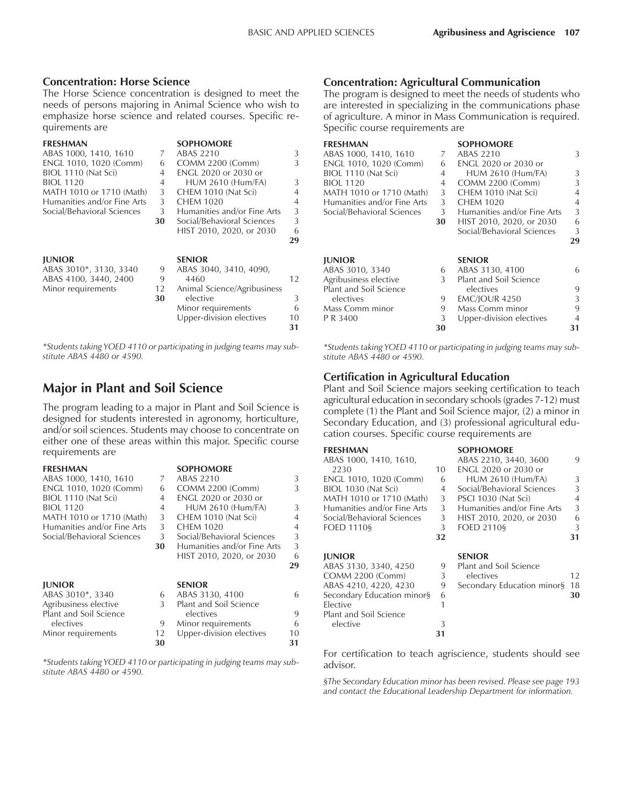#### **Concentration: Horse Science**

The Horse Science concentration is designed to meet the needs of persons majoring in Animal Science who wish to emphasize horse science and related courses. Specific requirements are

| <b>FRESHMAN</b>             |          | <b>SOPHOMORE</b>                        |    |
|-----------------------------|----------|-----------------------------------------|----|
| ABAS 1000, 1410, 1610       | 7        | ABAS 2210                               | 3  |
| ENGL 1010, 1020 (Comm)      | 6        | COMM 2200 (Comm)                        | 3  |
| BIOL 1110 (Nat Sci)         | 4        | <b>ENGL 2020 or 2030 or</b>             |    |
| <b>BIOL 1120</b>            | 4        | <b>HUM 2610 (Hum/FA)</b>                | 3  |
| MATH 1010 or 1710 (Math)    | 3        | CHEM 1010 (Nat Sci)                     | 4  |
| Humanities and/or Fine Arts | 3        | <b>CHEM 1020</b>                        | 4  |
| Social/Behavioral Sciences  | 3        | Humanities and/or Fine Arts             | 3  |
|                             | 30       | Social/Behavioral Sciences              | 3  |
|                             |          | HIST 2010, 2020, or 2030                | 6  |
|                             |          |                                         | 29 |
|                             |          |                                         |    |
|                             |          |                                         |    |
| <b>JUNIOR</b>               |          | <b>SENIOR</b>                           |    |
| ABAS 3010*, 3130, 3340      | 9        | ABAS 3040, 3410, 4090,                  |    |
| ABAS 4100, 3440, 2400       | 9        | 4460                                    | 12 |
| Minor requirements          | 12<br>30 | Animal Science/Agribusiness<br>elective | 3  |
|                             |          | Minor requirements                      | 6  |
|                             |          | Upper-division electives                | 10 |
|                             |          |                                         | 31 |

*\*Students taking YOED 4110 or participating in judging teams may substitute ABAS 4480 or 4590.*

# **Major in Plant and Soil Science**

The program leading to a major in Plant and Soil Science is designed for students interested in agronomy, horticulture, and/or soil sciences. Students may choose to concentrate on either one of these areas within this major. Specific course requirements are

**FRESHMAN SOPHOMORE**<br>ABAS 1000, 1410, 1610 7 ABAS 2210 ABAS 1000, 1410, 1610 7 ABAS 2210 3<br>ENGL 1010, 1020 (Comm) 6 COMM 2200 (Comm) 3 ENGL 1010, 1020 (Comm) 6 BIOL 1110 (Nat Sci) 4 ENGL 2020 or 2030 or 4 HUM 2610 (Hum/FA) 3 MATH 1010 or 1710 (Math) 3 CHEM 1010 (Nat Sci) 4 Humanities and/or Fine Arts 3 CHEM 1020 4 Social/Behavioral Sciences 3 Social/Behavioral Sciences 3 **30** Humanities and/or Fine Arts HIST 2010, 2020, or 2030 6 **29 JUNIOR SENIOR** ABAS 3010<sup>\*</sup>, 3340 6 ABAS 3130, 4100 6<br>
Agribusiness elective 3 Plant and Soil Science Plant and Soil Science Plant and Soil Science electives electives 9<br>electives 9 Minor requirements 6 electives 6<br>inor requirements 12 Upper-division electives 10 Minor requirements 12 Upper-division electives

*\*Students taking YOED 4110 or participating in judging teams may substitute ABAS 4480 or 4590.*

**30 31**

#### **Concentration: Agricultural Communication**

The program is designed to meet the needs of students who are interested in specializing in the communications phase of agriculture. A minor in Mass Communication is required. Specific course requirements are

| <b>FRESHMAN</b>             |    | <b>SOPHOMORE</b>            |    |
|-----------------------------|----|-----------------------------|----|
| ABAS 1000, 1410, 1610       | 7  | ABAS 2210                   | 3  |
| ENGL 1010, 1020 (Comm)      | 6  | <b>ENGL 2020 or 2030 or</b> |    |
| BIOL 1110 (Nat Sci)         | 4  | <b>HUM 2610 (Hum/FA)</b>    | 3  |
| <b>BIOL 1120</b>            | 4  | COMM 2200 (Comm)            | 3  |
| MATH 1010 or 1710 (Math)    | 3  | CHEM 1010 (Nat Sci)         | 4  |
| Humanities and/or Fine Arts | 3  | <b>CHEM 1020</b>            | 4  |
| Social/Behavioral Sciences  | 3  | Humanities and/or Fine Arts | 3  |
|                             | 30 | HIST 2010, 2020, or 2030    | 6  |
|                             |    | Social/Behavioral Sciences  | 3  |
|                             |    |                             | 29 |
|                             |    |                             |    |
|                             |    |                             |    |
| <b>JUNIOR</b>               |    | <b>SENIOR</b>               |    |
| ABAS 3010, 3340             | 6  | ABAS 3130, 4100             | 6  |
| Agribusiness elective       | 3  | Plant and Soil Science      |    |
| Plant and Soil Science      |    | electives                   | 9  |
| electives                   | 9  | <b>EMC/JOUR 4250</b>        | 3  |
| Mass Comm minor             | 9  | Mass Comm minor             | 9  |
| P R 3400                    | 3  | Upper-division electives    |    |

*\*Students taking YOED 4110 or participating in judging teams may substitute ABAS 4480 or 4590.*

## **Certification in Agricultural Education**

Elective 1

elective 3

Plant and Soil Science

Plant and Soil Science majors seeking certification to teach agricultural education in secondary schools (grades 7-12) must complete (1) the Plant and Soil Science major, (2) a minor in Secondary Education, and (3) professional agricultural education courses. Specific course requirements are

| <b>FRESHMAN</b>             |                | <b>SOPHOMORE</b>            |    |
|-----------------------------|----------------|-----------------------------|----|
| ABAS 1000, 1410, 1610,      |                | ABAS 2210, 3440, 3600       | 9  |
| 2230                        | 10             | <b>ENGL 2020 or 2030 or</b> |    |
| ENGL 1010, 1020 (Comm)      | 6              | <b>HUM 2610 (Hum/FA)</b>    | 3  |
| BIOL 1030 (Nat Sci)         | $\overline{4}$ | Social/Behavioral Sciences  | 3  |
| MATH 1010 or 1710 (Math)    | 3              | PSCI 1030 (Nat Sci)         | 4  |
| Humanities and/or Fine Arts | 3              | Humanities and/or Fine Arts | 3  |
| Social/Behavioral Sciences  | 3              | HIST 2010, 2020, or 2030    | 6  |
| <b>FOED 11109</b>           | 3              | <b>FOED 2110§</b>           | 3  |
|                             | 32             |                             | 31 |
| <b>IUNIOR</b>               |                | <b>SENIOR</b>               |    |
| ABAS 3130, 3340, 4250       | 9              | Plant and Soil Science      |    |
| COMM 2200 (Comm)            | 3              | electives                   | 12 |
| ABAS 4210, 4220, 4230       | 9              | Secondary Education minor§  | 18 |
| Secondary Education minors  | 6              |                             | 30 |

For certification to teach agriscience, students should see advisor.

**31**

*ßThe Secondary Education minor has been revised. Please see page 193 and contact the Educational Leadership Department for information.*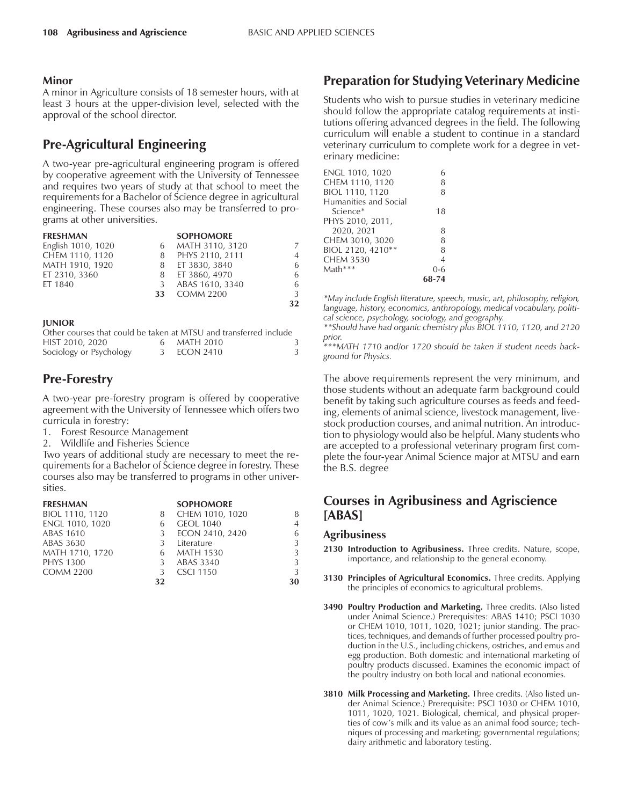#### **Minor**

A minor in Agriculture consists of 18 semester hours, with at least 3 hours at the upper-division level, selected with the approval of the school director.

# **Pre-Agricultural Engineering**

A two-year pre-agricultural engineering program is offered by cooperative agreement with the University of Tennessee and requires two years of study at that school to meet the requirements for a Bachelor of Science degree in agricultural engineering. These courses also may be transferred to programs at other universities.

| <b>FRESHMAN</b>    |    | <b>SOPHOMORE</b> |                |
|--------------------|----|------------------|----------------|
| English 1010, 1020 | 6  | MATH 3110, 3120  | 7              |
| CHEM 1110, 1120    | 8  | PHYS 2110, 2111  | $\overline{4}$ |
| MATH 1910, 1920    |    | 8 ET 3830, 3840  | 6              |
| ET 2310, 3360      | 8  | ET 3860, 4970    | 6              |
| ET 1840            | 3  | ABAS 1610, 3340  | 6              |
|                    | 33 | <b>COMM 2200</b> | 3              |
|                    |    |                  | 32             |

#### **JUNIOR**

| Other courses that could be taken at MTSU and transferred include |             |  |
|-------------------------------------------------------------------|-------------|--|
| HIST 2010, 2020                                                   | 6 MATH 2010 |  |
| Sociology or Psychology                                           | 3 ECON 2410 |  |

# **Pre-Forestry**

A two-year pre-forestry program is offered by cooperative agreement with the University of Tennessee which offers two curricula in forestry:

- 1. Forest Resource Management
- 2. Wildlife and Fisheries Science

Two years of additional study are necessary to meet the requirements for a Bachelor of Science degree in forestry. These courses also may be transferred to programs in other universities.

| <b>FRESHMAN</b>  |    | <b>SOPHOMORE</b> |                |
|------------------|----|------------------|----------------|
| BIOL 1110, 1120  | 8  | CHEM 1010, 1020  | 8              |
| ENGL 1010, 1020  | 6  | <b>GEOL 1040</b> | $\overline{4}$ |
| <b>ABAS 1610</b> | 3  | ECON 2410, 2420  | 6              |
| ABAS 3630        | 3  | Literature       | 3              |
| MATH 1710, 1720  | 6  | MATH 1530        | 3              |
| <b>PHYS 1300</b> |    | ABAS 3340        | 3              |
| <b>COMM 2200</b> | 3  | <b>CSCI 1150</b> | 3              |
|                  | 32 |                  | 30             |

## **Preparation for Studying Veterinary Medicine**

Students who wish to pursue studies in veterinary medicine should follow the appropriate catalog requirements at institutions offering advanced degrees in the field. The following curriculum will enable a student to continue in a standard veterinary curriculum to complete work for a degree in veterinary medicine:

| ENGL 1010, 1020       |         |
|-----------------------|---------|
| CHEM 1110, 1120       | 8       |
| BIOL 1110, 1120       | 8       |
| Humanities and Social |         |
| Science*              | 18      |
| PHYS 2010, 2011,      |         |
| 2020, 2021            | 8       |
| CHEM 3010, 3020       | 8       |
| BIOL 2120, 4210**     | 8       |
| <b>CHEM 3530</b>      | 4       |
| Math***               | $0 - 6$ |
|                       | 68-74   |
|                       |         |

*\*May include English literature, speech, music, art, philosophy, religion, language, history, economics, anthropology, medical vocabulary, political science, psychology, sociology, and geography.*

*\*\*Should have had organic chemistry plus BIOL 1110, 1120, and 2120 prior.*

*\*\*\*MATH 1710 and/or 1720 should be taken if student needs background for Physics.*

The above requirements represent the very minimum, and those students without an adequate farm background could benefit by taking such agriculture courses as feeds and feeding, elements of animal science, livestock management, livestock production courses, and animal nutrition. An introduction to physiology would also be helpful. Many students who are accepted to a professional veterinary program first complete the four-year Animal Science major at MTSU and earn the B.S. degree

## **Courses in Agribusiness and Agriscience [ABAS]**

#### **Agribusiness**

- **2130 Introduction to Agribusiness.** Three credits. Nature, scope, importance, and relationship to the general economy.
- **3130 Principles of Agricultural Economics.** Three credits. Applying the principles of economics to agricultural problems.
- **3490 Poultry Production and Marketing.** Three credits. (Also listed under Animal Science.) Prerequisites: ABAS 1410; PSCI 1030 or CHEM 1010, 1011, 1020, 1021; junior standing. The practices, techniques, and demands of further processed poultry production in the U.S., including chickens, ostriches, and emus and egg production. Both domestic and international marketing of poultry products discussed. Examines the economic impact of the poultry industry on both local and national economies.
- **3810 Milk Processing and Marketing.** Three credits. (Also listed under Animal Science.) Prerequisite: PSCI 1030 or CHEM 1010, 1011, 1020, 1021. Biological, chemical, and physical properties of cow's milk and its value as an animal food source; techniques of processing and marketing; governmental regulations; dairy arithmetic and laboratory testing.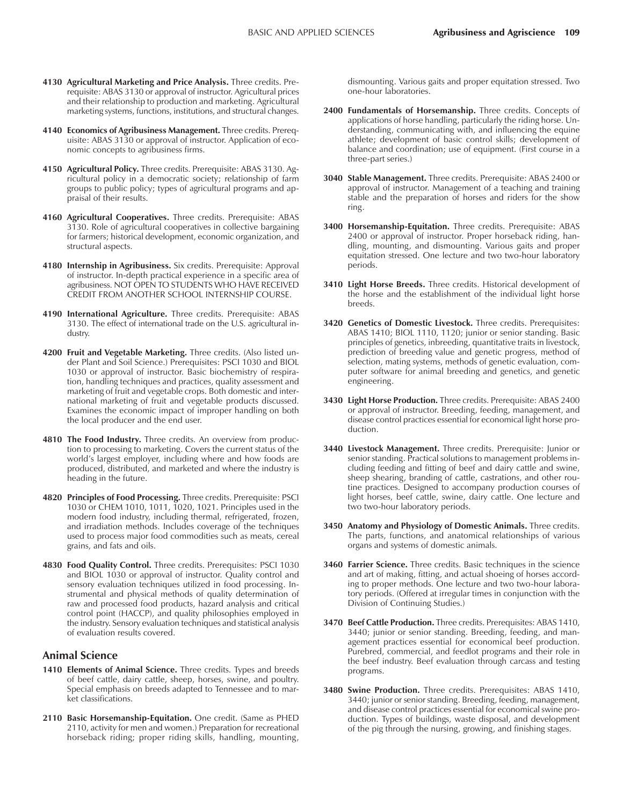- **4130 Agricultural Marketing and Price Analysis.** Three credits. Prerequisite: ABAS 3130 or approval of instructor. Agricultural prices and their relationship to production and marketing. Agricultural marketing systems, functions, institutions, and structural changes.
- **4140 Economics of Agribusiness Management.** Three credits. Prerequisite: ABAS 3130 or approval of instructor. Application of economic concepts to agribusiness firms.
- **4150 Agricultural Policy.** Three credits. Prerequisite: ABAS 3130. Agricultural policy in a democratic society; relationship of farm groups to public policy; types of agricultural programs and appraisal of their results.
- **4160 Agricultural Cooperatives.** Three credits. Prerequisite: ABAS 3130. Role of agricultural cooperatives in collective bargaining for farmers; historical development, economic organization, and structural aspects.
- **4180 Internship in Agribusiness.** Six credits. Prerequisite: Approval of instructor. In-depth practical experience in a specific area of agribusiness. NOT OPEN TO STUDENTS WHO HAVE RECEIVED CREDIT FROM ANOTHER SCHOOL INTERNSHIP COURSE.
- **4190 International Agriculture.** Three credits. Prerequisite: ABAS 3130. The effect of international trade on the U.S. agricultural industry.
- **4200 Fruit and Vegetable Marketing.** Three credits. (Also listed under Plant and Soil Science.) Prerequisites: PSCI 1030 and BIOL 1030 or approval of instructor. Basic biochemistry of respiration, handling techniques and practices, quality assessment and marketing of fruit and vegetable crops. Both domestic and international marketing of fruit and vegetable products discussed. Examines the economic impact of improper handling on both the local producer and the end user.
- **4810 The Food Industry.** Three credits. An overview from production to processing to marketing. Covers the current status of the world's largest employer, including where and how foods are produced, distributed, and marketed and where the industry is heading in the future.
- **4820 Principles of Food Processing.** Three credits. Prerequisite: PSCI 1030 or CHEM 1010, 1011, 1020, 1021. Principles used in the modern food industry, including thermal, refrigerated, frozen, and irradiation methods. Includes coverage of the techniques used to process major food commodities such as meats, cereal grains, and fats and oils.
- **4830 Food Quality Control.** Three credits. Prerequisites: PSCI 1030 and BIOL 1030 or approval of instructor. Quality control and sensory evaluation techniques utilized in food processing. Instrumental and physical methods of quality determination of raw and processed food products, hazard analysis and critical control point (HACCP), and quality philosophies employed in the industry. Sensory evaluation techniques and statistical analysis of evaluation results covered.

#### **Animal Science**

- **1410 Elements of Animal Science.** Three credits. Types and breeds of beef cattle, dairy cattle, sheep, horses, swine, and poultry. Special emphasis on breeds adapted to Tennessee and to market classifications.
- **2110 Basic Horsemanship-Equitation.** One credit. (Same as PHED 2110, activity for men and women.) Preparation for recreational horseback riding; proper riding skills, handling, mounting,

dismounting. Various gaits and proper equitation stressed. Two one-hour laboratories.

- **2400 Fundamentals of Horsemanship.** Three credits. Concepts of applications of horse handling, particularly the riding horse. Understanding, communicating with, and influencing the equine athlete; development of basic control skills; development of balance and coordination; use of equipment. (First course in a three-part series.)
- **3040 Stable Management.** Three credits. Prerequisite: ABAS 2400 or approval of instructor. Management of a teaching and training stable and the preparation of horses and riders for the show ring.
- **3400 Horsemanship-Equitation.** Three credits. Prerequisite: ABAS 2400 or approval of instructor. Proper horseback riding, handling, mounting, and dismounting. Various gaits and proper equitation stressed. One lecture and two two-hour laboratory periods.
- **3410 Light Horse Breeds.** Three credits. Historical development of the horse and the establishment of the individual light horse breeds.
- **3420 Genetics of Domestic Livestock.** Three credits. Prerequisites: ABAS 1410; BIOL 1110, 1120; junior or senior standing. Basic principles of genetics, inbreeding, quantitative traits in livestock, prediction of breeding value and genetic progress, method of selection, mating systems, methods of genetic evaluation, computer software for animal breeding and genetics, and genetic engineering.
- **3430 Light Horse Production.** Three credits. Prerequisite: ABAS 2400 or approval of instructor. Breeding, feeding, management, and disease control practices essential for economical light horse production.
- **3440 Livestock Management.** Three credits. Prerequisite: Junior or senior standing. Practical solutions to management problems including feeding and fitting of beef and dairy cattle and swine, sheep shearing, branding of cattle, castrations, and other routine practices. Designed to accompany production courses of light horses, beef cattle, swine, dairy cattle. One lecture and two two-hour laboratory periods.
- **3450 Anatomy and Physiology of Domestic Animals.** Three credits. The parts, functions, and anatomical relationships of various organs and systems of domestic animals.
- **3460 Farrier Science.** Three credits. Basic techniques in the science and art of making, fitting, and actual shoeing of horses according to proper methods. One lecture and two two-hour laboratory periods. (Offered at irregular times in conjunction with the Division of Continuing Studies.)
- **3470 Beef Cattle Production.** Three credits. Prerequisites: ABAS 1410, 3440; junior or senior standing. Breeding, feeding, and management practices essential for economical beef production. Purebred, commercial, and feedlot programs and their role in the beef industry. Beef evaluation through carcass and testing programs.
- **3480 Swine Production.** Three credits. Prerequisites: ABAS 1410, 3440; junior or senior standing. Breeding, feeding, management, and disease control practices essential for economical swine production. Types of buildings, waste disposal, and development of the pig through the nursing, growing, and finishing stages.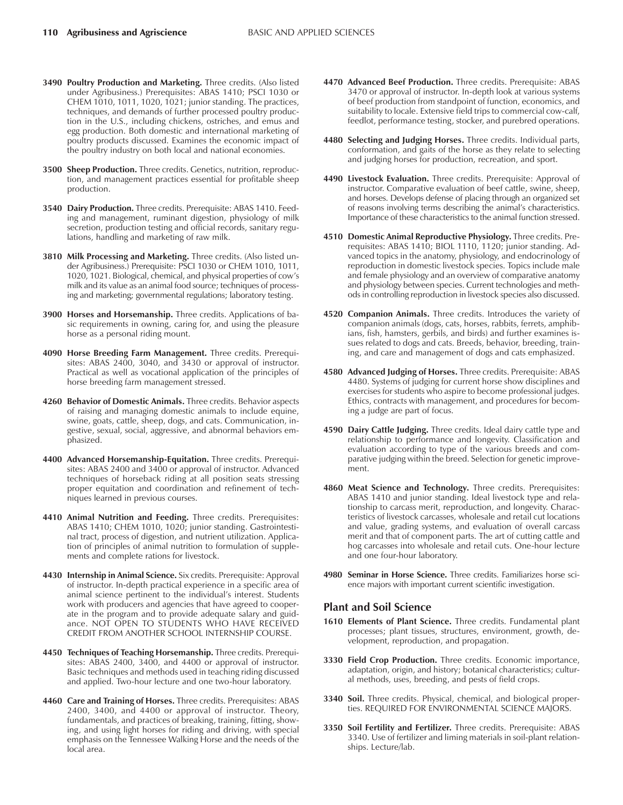- **3490 Poultry Production and Marketing.** Three credits. (Also listed under Agribusiness.) Prerequisites: ABAS 1410; PSCI 1030 or CHEM 1010, 1011, 1020, 1021; junior standing. The practices, techniques, and demands of further processed poultry production in the U.S., including chickens, ostriches, and emus and egg production. Both domestic and international marketing of poultry products discussed. Examines the economic impact of the poultry industry on both local and national economies.
- **3500 Sheep Production.** Three credits. Genetics, nutrition, reproduction, and management practices essential for profitable sheep production.
- **3540 Dairy Production.** Three credits. Prerequisite: ABAS 1410. Feeding and management, ruminant digestion, physiology of milk secretion, production testing and official records, sanitary regulations, handling and marketing of raw milk.
- **3810 Milk Processing and Marketing.** Three credits. (Also listed under Agribusiness.) Prerequisite: PSCI 1030 or CHEM 1010, 1011, 1020, 1021. Biological, chemical, and physical properties of cow's milk and its value as an animal food source; techniques of processing and marketing; governmental regulations; laboratory testing.
- **3900 Horses and Horsemanship.** Three credits. Applications of basic requirements in owning, caring for, and using the pleasure horse as a personal riding mount.
- **4090 Horse Breeding Farm Management.** Three credits. Prerequisites: ABAS 2400, 3040, and 3430 or approval of instructor. Practical as well as vocational application of the principles of horse breeding farm management stressed.
- **4260 Behavior of Domestic Animals.** Three credits. Behavior aspects of raising and managing domestic animals to include equine, swine, goats, cattle, sheep, dogs, and cats. Communication, ingestive, sexual, social, aggressive, and abnormal behaviors emphasized.
- **4400 Advanced Horsemanship-Equitation.** Three credits. Prerequisites: ABAS 2400 and 3400 or approval of instructor. Advanced techniques of horseback riding at all position seats stressing proper equitation and coordination and refinement of techniques learned in previous courses.
- **4410 Animal Nutrition and Feeding.** Three credits. Prerequisites: ABAS 1410; CHEM 1010, 1020; junior standing. Gastrointestinal tract, process of digestion, and nutrient utilization. Application of principles of animal nutrition to formulation of supplements and complete rations for livestock.
- **4430 Internship in Animal Science.** Six credits. Prerequisite: Approval of instructor. In-depth practical experience in a specific area of animal science pertinent to the individual's interest. Students work with producers and agencies that have agreed to cooperate in the program and to provide adequate salary and guidance. NOT OPEN TO STUDENTS WHO HAVE RECEIVED CREDIT FROM ANOTHER SCHOOL INTERNSHIP COURSE.
- **4450 Techniques of Teaching Horsemanship.** Three credits. Prerequisites: ABAS 2400, 3400, and 4400 or approval of instructor. Basic techniques and methods used in teaching riding discussed and applied. Two-hour lecture and one two-hour laboratory.
- **4460 Care and Training of Horses.** Three credits. Prerequisites: ABAS 2400, 3400, and 4400 or approval of instructor. Theory, fundamentals, and practices of breaking, training, fitting, showing, and using light horses for riding and driving, with special emphasis on the Tennessee Walking Horse and the needs of the local area.
- **4470 Advanced Beef Production.** Three credits. Prerequisite: ABAS 3470 or approval of instructor. In-depth look at various systems of beef production from standpoint of function, economics, and suitability to locale. Extensive field trips to commercial cow-calf, feedlot, performance testing, stocker, and purebred operations.
- **4480 Selecting and Judging Horses.** Three credits. Individual parts, conformation, and gaits of the horse as they relate to selecting and judging horses for production, recreation, and sport.
- **4490 Livestock Evaluation.** Three credits. Prerequisite: Approval of instructor. Comparative evaluation of beef cattle, swine, sheep, and horses. Develops defense of placing through an organized set of reasons involving terms describing the animal's characteristics. Importance of these characteristics to the animal function stressed.
- **4510 Domestic Animal Reproductive Physiology.** Three credits. Prerequisites: ABAS 1410; BIOL 1110, 1120; junior standing. Advanced topics in the anatomy, physiology, and endocrinology of reproduction in domestic livestock species. Topics include male and female physiology and an overview of comparative anatomy and physiology between species. Current technologies and methods in controlling reproduction in livestock species also discussed.
- **4520 Companion Animals.** Three credits. Introduces the variety of companion animals (dogs, cats, horses, rabbits, ferrets, amphibians, fish, hamsters, gerbils, and birds) and further examines issues related to dogs and cats. Breeds, behavior, breeding, training, and care and management of dogs and cats emphasized.
- **4580 Advanced Judging of Horses.** Three credits. Prerequisite: ABAS 4480. Systems of judging for current horse show disciplines and exercises for students who aspire to become professional judges. Ethics, contracts with management, and procedures for becoming a judge are part of focus.
- **4590 Dairy Cattle Judging.** Three credits. Ideal dairy cattle type and relationship to performance and longevity. Classification and evaluation according to type of the various breeds and comparative judging within the breed. Selection for genetic improvement.
- **4860 Meat Science and Technology.** Three credits. Prerequisites: ABAS 1410 and junior standing. Ideal livestock type and relationship to carcass merit, reproduction, and longevity. Characteristics of livestock carcasses, wholesale and retail cut locations and value, grading systems, and evaluation of overall carcass merit and that of component parts. The art of cutting cattle and hog carcasses into wholesale and retail cuts. One-hour lecture and one four-hour laboratory.
- **4980 Seminar in Horse Science.** Three credits. Familiarizes horse science majors with important current scientific investigation.

#### **Plant and Soil Science**

- **1610 Elements of Plant Science.** Three credits. Fundamental plant processes; plant tissues, structures, environment, growth, development, reproduction, and propagation.
- **3330 Field Crop Production.** Three credits. Economic importance, adaptation, origin, and history; botanical characteristics; cultural methods, uses, breeding, and pests of field crops.
- **3340 Soil.** Three credits. Physical, chemical, and biological properties. REQUIRED FOR ENVIRONMENTAL SCIENCE MAJORS.
- **3350 Soil Fertility and Fertilizer.** Three credits. Prerequisite: ABAS 3340. Use of fertilizer and liming materials in soil-plant relationships. Lecture/lab.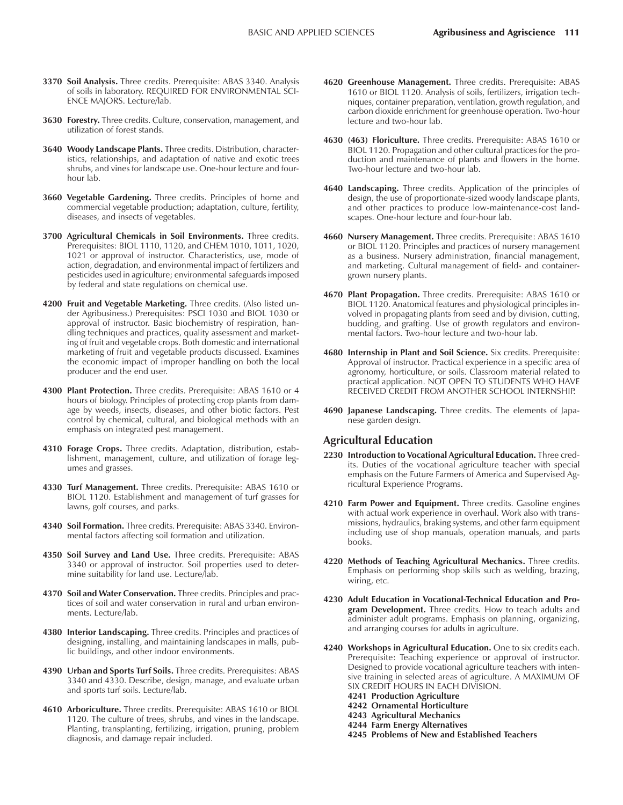- **3370 Soil Analysis.** Three credits. Prerequisite: ABAS 3340. Analysis of soils in laboratory. REQUIRED FOR ENVIRONMENTAL SCI-ENCE MAJORS. Lecture/lab.
- **3630 Forestry.** Three credits. Culture, conservation, management, and utilization of forest stands.
- **3640 Woody Landscape Plants.** Three credits. Distribution, characteristics, relationships, and adaptation of native and exotic trees shrubs, and vines for landscape use. One-hour lecture and fourhour lab.
- **3660 Vegetable Gardening.** Three credits. Principles of home and commercial vegetable production; adaptation, culture, fertility, diseases, and insects of vegetables.
- **3700 Agricultural Chemicals in Soil Environments.** Three credits. Prerequisites: BIOL 1110, 1120, and CHEM 1010, 1011, 1020, 1021 or approval of instructor. Characteristics, use, mode of action, degradation, and environmental impact of fertilizers and pesticides used in agriculture; environmental safeguards imposed by federal and state regulations on chemical use.
- **4200 Fruit and Vegetable Marketing.** Three credits. (Also listed under Agribusiness.) Prerequisites: PSCI 1030 and BIOL 1030 or approval of instructor. Basic biochemistry of respiration, handling techniques and practices, quality assessment and marketing of fruit and vegetable crops. Both domestic and international marketing of fruit and vegetable products discussed. Examines the economic impact of improper handling on both the local producer and the end user.
- **4300 Plant Protection.** Three credits. Prerequisite: ABAS 1610 or 4 hours of biology. Principles of protecting crop plants from damage by weeds, insects, diseases, and other biotic factors. Pest control by chemical, cultural, and biological methods with an emphasis on integrated pest management.
- **4310 Forage Crops.** Three credits. Adaptation, distribution, establishment, management, culture, and utilization of forage legumes and grasses.
- **4330 Turf Management.** Three credits. Prerequisite: ABAS 1610 or BIOL 1120. Establishment and management of turf grasses for lawns, golf courses, and parks.
- **4340 Soil Formation.** Three credits. Prerequisite: ABAS 3340. Environmental factors affecting soil formation and utilization.
- **4350 Soil Survey and Land Use.** Three credits. Prerequisite: ABAS 3340 or approval of instructor. Soil properties used to determine suitability for land use. Lecture/lab.
- **4370 Soil and Water Conservation.** Three credits. Principles and practices of soil and water conservation in rural and urban environments. Lecture/lab.
- **4380 Interior Landscaping.** Three credits. Principles and practices of designing, installing, and maintaining landscapes in malls, public buildings, and other indoor environments.
- **4390 Urban and Sports Turf Soils.** Three credits. Prerequisites: ABAS 3340 and 4330. Describe, design, manage, and evaluate urban and sports turf soils. Lecture/lab.
- **4610 Arboriculture.** Three credits. Prerequisite: ABAS 1610 or BIOL 1120. The culture of trees, shrubs, and vines in the landscape. Planting, transplanting, fertilizing, irrigation, pruning, problem diagnosis, and damage repair included.
- **4620 Greenhouse Management.** Three credits. Prerequisite: ABAS 1610 or BIOL 1120. Analysis of soils, fertilizers, irrigation techniques, container preparation, ventilation, growth regulation, and carbon dioxide enrichment for greenhouse operation. Two-hour lecture and two-hour lab.
- **4630 (463) Floriculture.** Three credits. Prerequisite: ABAS 1610 or BIOL 1120. Propagation and other cultural practices for the production and maintenance of plants and flowers in the home. Two-hour lecture and two-hour lab.
- **4640 Landscaping.** Three credits. Application of the principles of design, the use of proportionate-sized woody landscape plants, and other practices to produce low-maintenance-cost landscapes. One-hour lecture and four-hour lab.
- **4660 Nursery Management.** Three credits. Prerequisite: ABAS 1610 or BIOL 1120. Principles and practices of nursery management as a business. Nursery administration, financial management, and marketing. Cultural management of field- and containergrown nursery plants.
- **4670 Plant Propagation.** Three credits. Prerequisite: ABAS 1610 or BIOL 1120. Anatomical features and physiological principles involved in propagating plants from seed and by division, cutting, budding, and grafting. Use of growth regulators and environmental factors. Two-hour lecture and two-hour lab.
- **4680 Internship in Plant and Soil Science.** Six credits. Prerequisite: Approval of instructor. Practical experience in a specific area of agronomy, horticulture, or soils. Classroom material related to practical application. NOT OPEN TO STUDENTS WHO HAVE RECEIVED CREDIT FROM ANOTHER SCHOOL INTERNSHIP.
- **4690 Japanese Landscaping.** Three credits. The elements of Japanese garden design.

#### **Agricultural Education**

- **2230 Introduction to Vocational Agricultural Education.** Three credits. Duties of the vocational agriculture teacher with special emphasis on the Future Farmers of America and Supervised Agricultural Experience Programs.
- **4210 Farm Power and Equipment.** Three credits. Gasoline engines with actual work experience in overhaul. Work also with transmissions, hydraulics, braking systems, and other farm equipment including use of shop manuals, operation manuals, and parts books.
- **4220 Methods of Teaching Agricultural Mechanics.** Three credits. Emphasis on performing shop skills such as welding, brazing, wiring, etc.
- **4230 Adult Education in Vocational-Technical Education and Program Development.** Three credits. How to teach adults and administer adult programs. Emphasis on planning, organizing, and arranging courses for adults in agriculture.
- **4240 Workshops in Agricultural Education.** One to six credits each. Prerequisite: Teaching experience or approval of instructor. Designed to provide vocational agriculture teachers with intensive training in selected areas of agriculture. A MAXIMUM OF SIX CREDIT HOURS IN EACH DIVISION.
	- **4241 Production Agriculture**
	- **4242 Ornamental Horticulture**
	- **4243 Agricultural Mechanics**
	- **4244 Farm Energy Alternatives**
	- **4245 Problems of New and Established Teachers**